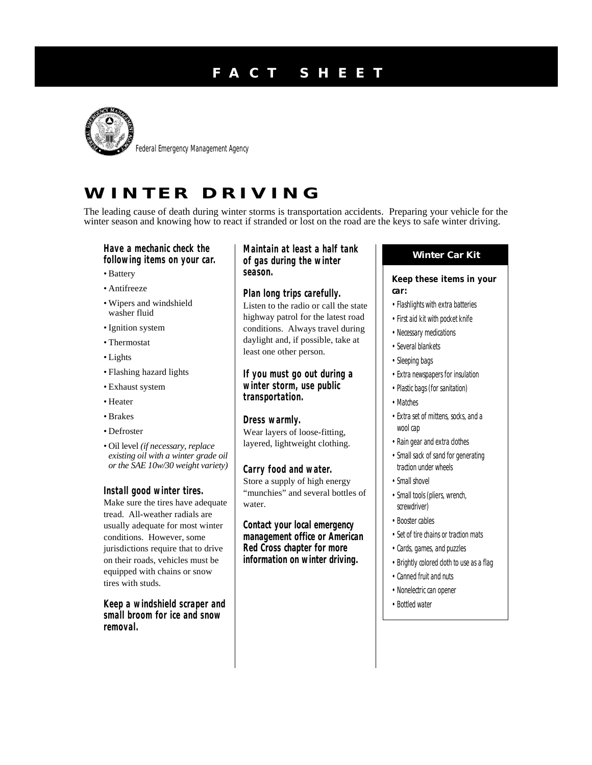# **F A C T S H E E T**



Federal Emergency Management Agency

# **W I N T E R D R I V I N G**

The leading cause of death during winter storms is transportation accidents. Preparing your vehicle for the winter season and knowing how to react if stranded or lost on the road are the keys to safe winter driving.

**following items on your car.**

- Battery
- Antifreeze
- Wipers and windshield washer fluid
- Ignition system
- Thermostat
- Lights
- Flashing hazard lights
- Exhaust system
- Heater
- Brakes
- Defroster
- Oil level *(if necessary, replace existing oil with a winter grade oil or the SAE 10w/30 weight variety)*

**Install good winter tires.** Make sure the tires have adequate tread. All-weather radials are usually adequate for most winter conditions. However, some jurisdictions require that to drive on their roads, vehicles must be equipped with chains or snow tires with studs.

**Keep a windshield scraper and small broom for ice and snow removal.**

**Winter Car Kit Have a mechanic check the Maintain at least a half tank of gas during the winter season.**

> **Plan long trips carefully.** Listen to the radio or call the state highway patrol for the latest road conditions. Always travel during daylight and, if possible, take at least one other person.

**If you must go out during a winter storm, use public transportation.**

**Dress warmly.** Wear layers of loose-fitting, layered, lightweight clothing.

**Carry food and water.** Store a supply of high energy "munchies" and several bottles of water.

**Contact your local emergency management office or American Red Cross chapter for more information on winter driving.**

**Keep these items in your car:**

- Flashlights with extra batteries
- First aid kit with pocket knife
- Necessary medications
- Several blankets
- Sleeping bags
- Extra newspapers for insulation
- Plastic bags (for sanitation)
- Matches
- Extra set of mittens, socks, and a wool cap
- Rain gear and extra clothes
- Small sack of sand for generating traction under wheels
- Small shovel
- Small tools (pliers, wrench, screwdriver)
- Booster cables
- Set of tire chains or traction mats
- Cards, games, and puzzles
- Brightly colored cloth to use as a flag
- Canned fruit and nuts
- Nonelectric can opener
- Bottled water